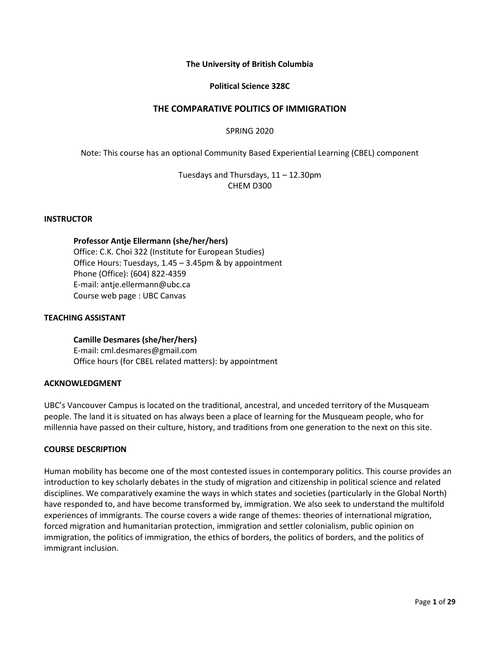# **The University of British Columbia**

# **Political Science 328C**

# **THE COMPARATIVE POLITICS OF IMMIGRATION**

# SPRING 2020

Note: This course has an optional Community Based Experiential Learning (CBEL) component

Tuesdays and Thursdays, 11 – 12.30pm CHEM D300

#### **INSTRUCTOR**

#### **Professor Antje Ellermann (she/her/hers)**

Office: C.K. Choi 322 (Institute for European Studies) Office Hours: Tuesdays, 1.45 – 3.45pm & by appointment Phone (Office): (604) 822-4359 E-mail: antje.ellermann@ubc.ca Course web page : UBC Canvas

#### **TEACHING ASSISTANT**

# **Camille Desmares (she/her/hers)**

E-mail: cml.desmares@gmail.com Office hours (for CBEL related matters): by appointment

#### **ACKNOWLEDGMENT**

UBC's Vancouver Campus is located on the traditional, ancestral, and unceded territory of the Musqueam people. The land it is situated on has always been a place of learning for the Musqueam people, who for millennia have passed on their culture, history, and traditions from one generation to the next on this site.

# **COURSE DESCRIPTION**

Human mobility has become one of the most contested issues in contemporary politics. This course provides an introduction to key scholarly debates in the study of migration and citizenship in political science and related disciplines. We comparatively examine the ways in which states and societies (particularly in the Global North) have responded to, and have become transformed by, immigration. We also seek to understand the multifold experiences of immigrants. The course covers a wide range of themes: theories of international migration, forced migration and humanitarian protection, immigration and settler colonialism, public opinion on immigration, the politics of immigration, the ethics of borders, the politics of borders, and the politics of immigrant inclusion.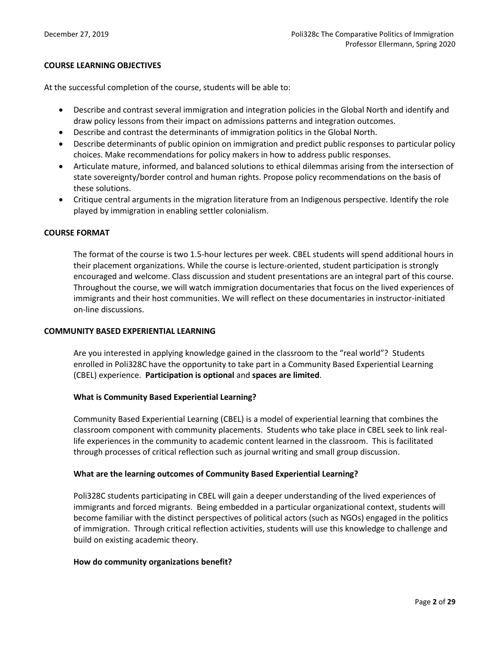# **COURSE LEARNING OBJECTIVES**

At the successful completion of the course, students will be able to:

- Describe and contrast several immigration and integration policies in the Global North and identify and draw policy lessons from their impact on admissions patterns and integration outcomes.
- Describe and contrast the determinants of immigration politics in the Global North.
- Describe determinants of public opinion on immigration and predict public responses to particular policy choices. Make recommendations for policy makers in how to address public responses.
- Articulate mature, informed, and balanced solutions to ethical dilemmas arising from the intersection of state sovereignty/border control and human rights. Propose policy recommendations on the basis of these solutions.
- Critique central arguments in the migration literature from an Indigenous perspective. Identify the role played by immigration in enabling settler colonialism.

# **COURSE FORMAT**

The format of the course is two 1.5-hour lectures per week. CBEL students will spend additional hours in their placement organizations. While the course is lecture-oriented, student participation is strongly encouraged and welcome. Class discussion and student presentations are an integral part of this course. Throughout the course, we will watch immigration documentaries that focus on the lived experiences of immigrants and their host communities. We will reflect on these documentaries in instructor-initiated on-line discussions.

# **COMMUNITY BASED EXPERIENTIAL LEARNING**

Are you interested in applying knowledge gained in the classroom to the "real world"? Students enrolled in Poli328C have the opportunity to take part in a Community Based Experiential Learning (CBEL) experience. **Participation is optional** and **spaces are limited**.

# **What is Community Based Experiential Learning?**

Community Based Experiential Learning (CBEL) is a model of experiential learning that combines the classroom component with community placements. Students who take place in CBEL seek to link reallife experiences in the community to academic content learned in the classroom. This is facilitated through processes of critical reflection such as journal writing and small group discussion.

# **What are the learning outcomes of Community Based Experiential Learning?**

Poli328C students participating in CBEL will gain a deeper understanding of the lived experiences of immigrants and forced migrants. Being embedded in a particular organizational context, students will become familiar with the distinct perspectives of political actors (such as NGOs) engaged in the politics of immigration. Through critical reflection activities, students will use this knowledge to challenge and build on existing academic theory.

# **How do community organizations benefit?**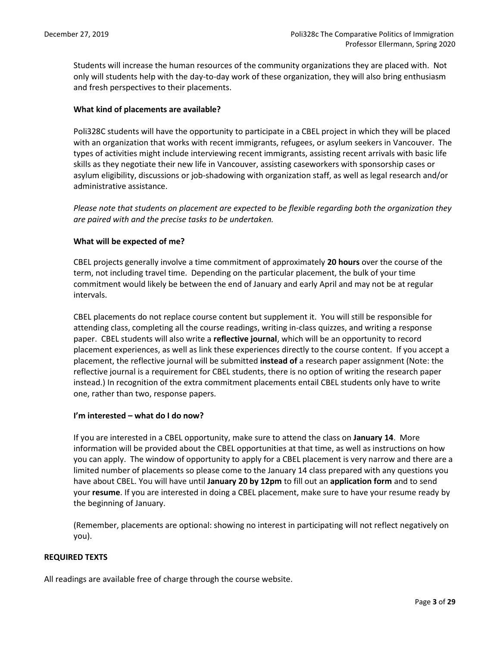Students will increase the human resources of the community organizations they are placed with. Not only will students help with the day-to-day work of these organization, they will also bring enthusiasm and fresh perspectives to their placements.

# **What kind of placements are available?**

Poli328C students will have the opportunity to participate in a CBEL project in which they will be placed with an organization that works with recent immigrants, refugees, or asylum seekers in Vancouver. The types of activities might include interviewing recent immigrants, assisting recent arrivals with basic life skills as they negotiate their new life in Vancouver, assisting caseworkers with sponsorship cases or asylum eligibility, discussions or job-shadowing with organization staff, as well as legal research and/or administrative assistance.

*Please note that students on placement are expected to be flexible regarding both the organization they are paired with and the precise tasks to be undertaken.* 

# **What will be expected of me?**

CBEL projects generally involve a time commitment of approximately **20 hours** over the course of the term, not including travel time. Depending on the particular placement, the bulk of your time commitment would likely be between the end of January and early April and may not be at regular intervals.

CBEL placements do not replace course content but supplement it. You will still be responsible for attending class, completing all the course readings, writing in-class quizzes, and writing a response paper. CBEL students will also write a **reflective journal**, which will be an opportunity to record placement experiences, as well as link these experiences directly to the course content. If you accept a placement, the reflective journal will be submitted **instead of** a research paper assignment (Note: the reflective journal is a requirement for CBEL students, there is no option of writing the research paper instead.) In recognition of the extra commitment placements entail CBEL students only have to write one, rather than two, response papers.

# **I'm interested – what do I do now?**

If you are interested in a CBEL opportunity, make sure to attend the class on **January 14**. More information will be provided about the CBEL opportunities at that time, as well as instructions on how you can apply. The window of opportunity to apply for a CBEL placement is very narrow and there are a limited number of placements so please come to the January 14 class prepared with any questions you have about CBEL. You will have until **January 20 by 12pm** to fill out an **application form** and to send your **resume**. If you are interested in doing a CBEL placement, make sure to have your resume ready by the beginning of January.

(Remember, placements are optional: showing no interest in participating will not reflect negatively on you).

# **REQUIRED TEXTS**

All readings are available free of charge through the course website.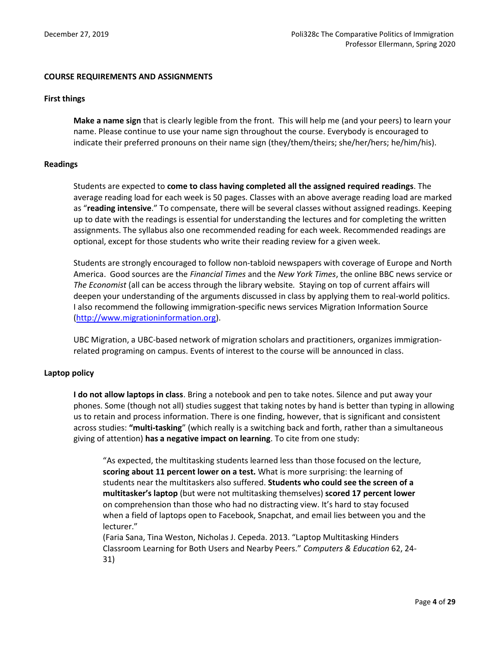# **COURSE REQUIREMENTS AND ASSIGNMENTS**

# **First things**

**Make a name sign** that is clearly legible from the front. This will help me (and your peers) to learn your name. Please continue to use your name sign throughout the course. Everybody is encouraged to indicate their preferred pronouns on their name sign (they/them/theirs; she/her/hers; he/him/his).

# **Readings**

Students are expected to **come to class having completed all the assigned required readings**. The average reading load for each week is 50 pages. Classes with an above average reading load are marked as "**reading intensive**." To compensate, there will be several classes without assigned readings. Keeping up to date with the readings is essential for understanding the lectures and for completing the written assignments. The syllabus also one recommended reading for each week. Recommended readings are optional, except for those students who write their reading review for a given week.

Students are strongly encouraged to follow non-tabloid newspapers with coverage of Europe and North America. Good sources are the *Financial Times* and the *New York Times*, the online BBC news service or *The Economist* (all can be access through the library website*.* Staying on top of current affairs will deepen your understanding of the arguments discussed in class by applying them to real-world politics. I also recommend the following immigration-specific news services Migration Information Source [\(http://www.migrationinformation.org\)](http://www.migrationinformation.org/).

UBC Migration, a UBC-based network of migration scholars and practitioners, organizes immigrationrelated programing on campus. Events of interest to the course will be announced in class.

# **Laptop policy**

**I do not allow laptops in class**. Bring a notebook and pen to take notes. Silence and put away your phones. Some (though not all) studies suggest that taking notes by hand is better than typing in allowing us to retain and process information. There is one finding, however, that is significant and consistent across studies: **"multi-tasking**" (which really is a switching back and forth, rather than a simultaneous giving of attention) **has a negative impact on learning**. To cite from one study:

"As expected, the multitasking students learned less than those focused on the lecture, **scoring about 11 percent lower on a test.** What is more surprising: the learning of students near the multitaskers also suffered. **Students who could see the screen of a multitasker's laptop** (but were not multitasking themselves) **scored 17 percent lower** on comprehension than those who had no distracting view. It's hard to stay focused when a field of laptops open to Facebook, Snapchat, and email lies between you and the lecturer."

(Faria Sana, Tina Weston, Nicholas J. Cepeda. 2013. "Laptop Multitasking Hinders Classroom Learning for Both Users and Nearby Peers." *Computers & Education* 62, 24- 31)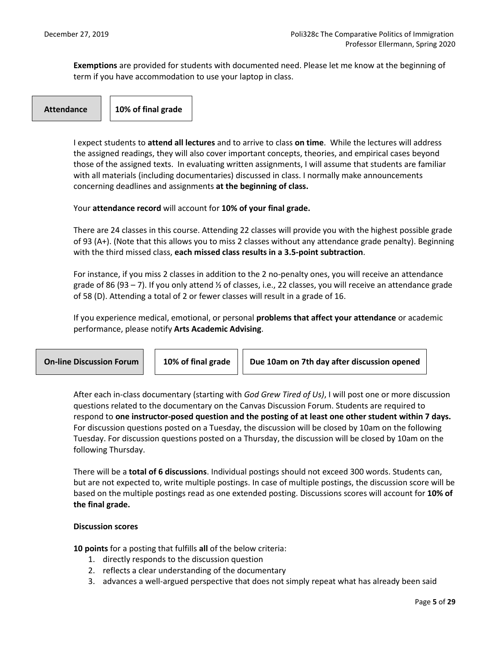**Exemptions** are provided for students with documented need. Please let me know at the beginning of term if you have accommodation to use your laptop in class.

**Attendance 10% of final grade**

I expect students to **attend all lectures** and to arrive to class **on time**. While the lectures will address the assigned readings, they will also cover important concepts, theories, and empirical cases beyond those of the assigned texts. In evaluating written assignments, I will assume that students are familiar with all materials (including documentaries) discussed in class. I normally make announcements concerning deadlines and assignments **at the beginning of class.** 

Your **attendance record** will account for **10% of your final grade.**

There are 24 classes in this course. Attending 22 classes will provide you with the highest possible grade of 93 (A+). (Note that this allows you to miss 2 classes without any attendance grade penalty). Beginning with the third missed class, **each missed class results in a 3.5-point subtraction**.

For instance, if you miss 2 classes in addition to the 2 no-penalty ones, you will receive an attendance grade of 86 (93 – 7). If you only attend ½ of classes, i.e., 22 classes, you will receive an attendance grade of 58 (D). Attending a total of 2 or fewer classes will result in a grade of 16.

If you experience medical, emotional, or personal **problems that affect your attendance** or academic performance, please notify **Arts Academic Advising**.

| <b>On-line Discussion Forum</b> | 10% of final grade | Due 10am on 7th day after discussion opened |  |
|---------------------------------|--------------------|---------------------------------------------|--|
|                                 |                    |                                             |  |

After each in-class documentary (starting with *God Grew Tired of Us)*, I will post one or more discussion questions related to the documentary on the Canvas Discussion Forum. Students are required to respond to **one instructor-posed question and the posting of at least one other student within 7 days.**  For discussion questions posted on a Tuesday, the discussion will be closed by 10am on the following Tuesday. For discussion questions posted on a Thursday, the discussion will be closed by 10am on the following Thursday.

There will be a **total of 6 discussions**. Individual postings should not exceed 300 words. Students can, but are not expected to, write multiple postings. In case of multiple postings, the discussion score will be based on the multiple postings read as one extended posting. Discussions scores will account for **10% of the final grade.**

# **Discussion scores**

**10 points** for a posting that fulfills **all** of the below criteria:

- 1. directly responds to the discussion question
- 2. reflects a clear understanding of the documentary
- 3. advances a well-argued perspective that does not simply repeat what has already been said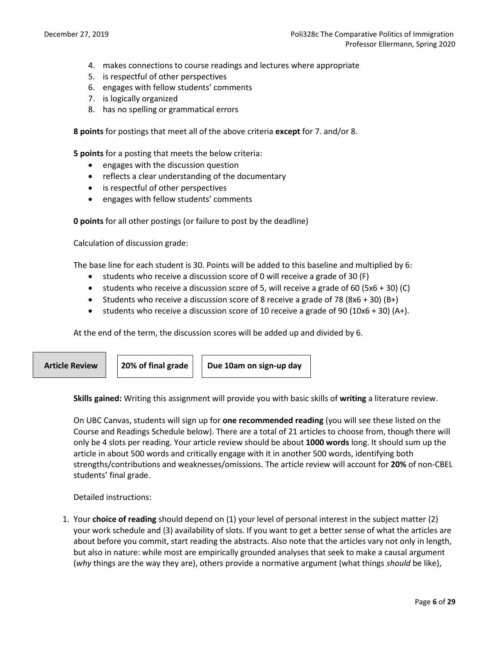- 4. makes connections to course readings and lectures where appropriate
- 5. is respectful of other perspectives
- 6. engages with fellow students' comments
- 7. is logically organized
- 8. has no spelling or grammatical errors

**8 points** for postings that meet all of the above criteria **except** for 7. and/or 8.

**5 points** for a posting that meets the below criteria:

- engages with the discussion question
- reflects a clear understanding of the documentary
- is respectful of other perspectives
- engages with fellow students' comments

**0 points** for all other postings (or failure to post by the deadline)

Calculation of discussion grade:

The base line for each student is 30. Points will be added to this baseline and multiplied by 6:

- students who receive a discussion score of 0 will receive a grade of 30 (F)
- students who receive a discussion score of 5, will receive a grade of 60 (5x6 + 30) (C)
- Students who receive a discussion score of 8 receive a grade of 78 (8x6 + 30) (B+)
- students who receive a discussion score of 10 receive a grade of 90 (10x6 + 30) (A+).

At the end of the term, the discussion scores will be added up and divided by 6.



Article Review | 20% of final grade | Due 10am on sign-up day

**Skills gained:** Writing this assignment will provide you with basic skills of **writing** a literature review.

On UBC Canvas, students will sign up for **one recommended reading** (you will see these listed on the Course and Readings Schedule below). There are a total of 21 articles to choose from, though there will only be 4 slots per reading. Your article review should be about **1000 words** long. It should sum up the article in about 500 words and critically engage with it in another 500 words, identifying both strengths/contributions and weaknesses/omissions. The article review will account for **20%** of non-CBEL students' final grade.

Detailed instructions:

1. Your **choice of reading** should depend on (1) your level of personal interest in the subject matter (2) your work schedule and (3) availability of slots. If you want to get a better sense of what the articles are about before you commit, start reading the abstracts. Also note that the articles vary not only in length, but also in nature: while most are empirically grounded analyses that seek to make a causal argument (*why* things are the way they are), others provide a normative argument (what things *should* be like),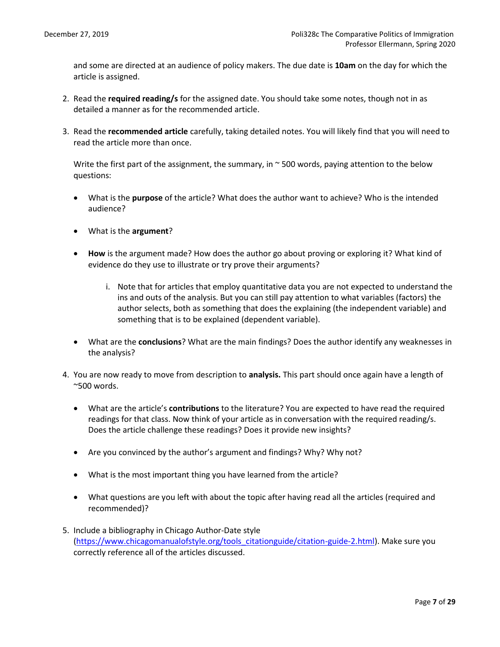and some are directed at an audience of policy makers. The due date is **10am** on the day for which the article is assigned.

- 2. Read the **required reading/s** for the assigned date. You should take some notes, though not in as detailed a manner as for the recommended article.
- 3. Read the **recommended article** carefully, taking detailed notes. You will likely find that you will need to read the article more than once.

Write the first part of the assignment, the summary, in  $\sim$  500 words, paying attention to the below questions:

- What is the **purpose** of the article? What does the author want to achieve? Who is the intended audience?
- What is the **argument**?
- **How** is the argument made? How does the author go about proving or exploring it? What kind of evidence do they use to illustrate or try prove their arguments?
	- i. Note that for articles that employ quantitative data you are not expected to understand the ins and outs of the analysis. But you can still pay attention to what variables (factors) the author selects, both as something that does the explaining (the independent variable) and something that is to be explained (dependent variable).
- What are the **conclusions**? What are the main findings? Does the author identify any weaknesses in the analysis?
- 4. You are now ready to move from description to **analysis.** This part should once again have a length of ~500 words.
	- What are the article's **contributions** to the literature? You are expected to have read the required readings for that class. Now think of your article as in conversation with the required reading/s. Does the article challenge these readings? Does it provide new insights?
	- Are you convinced by the author's argument and findings? Why? Why not?
	- What is the most important thing you have learned from the article?
	- What questions are you left with about the topic after having read all the articles (required and recommended)?
- 5. Include a bibliography in Chicago Author-Date style [\(https://www.chicagomanualofstyle.org/tools\\_citationguide/citation-guide-2.html\)](https://www.chicagomanualofstyle.org/tools_citationguide/citation-guide-2.html). Make sure you correctly reference all of the articles discussed.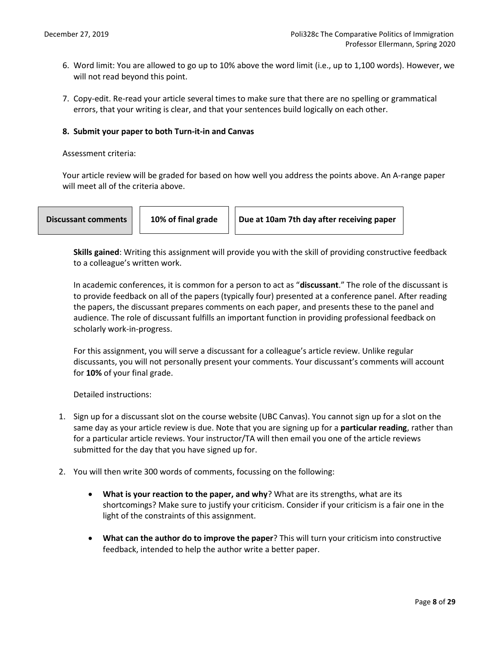- 6. Word limit: You are allowed to go up to 10% above the word limit (i.e., up to 1,100 words). However, we will not read beyond this point.
- 7. Copy-edit. Re-read your article several times to make sure that there are no spelling or grammatical errors, that your writing is clear, and that your sentences build logically on each other.

# **8. Submit your paper to both Turn-it-in and Canvas**

#### Assessment criteria:

Your article review will be graded for based on how well you address the points above. An A-range paper will meet all of the criteria above.

**Discussant comments | | 10% of final grade | | Due at 10am 7th day after receiving paper** 

**Skills gained**: Writing this assignment will provide you with the skill of providing constructive feedback to a colleague's written work.

In academic conferences, it is common for a person to act as "**discussant**." The role of the discussant is to provide feedback on all of the papers (typically four) presented at a conference panel. After reading the papers, the discussant prepares comments on each paper, and presents these to the panel and audience. The role of discussant fulfills an important function in providing professional feedback on scholarly work-in-progress.

For this assignment, you will serve a discussant for a colleague's article review. Unlike regular discussants, you will not personally present your comments. Your discussant's comments will account for **10%** of your final grade.

Detailed instructions:

- 1. Sign up for a discussant slot on the course website (UBC Canvas). You cannot sign up for a slot on the same day as your article review is due. Note that you are signing up for a **particular reading**, rather than for a particular article reviews. Your instructor/TA will then email you one of the article reviews submitted for the day that you have signed up for.
- 2. You will then write 300 words of comments, focussing on the following:
	- **What is your reaction to the paper, and why**? What are its strengths, what are its shortcomings? Make sure to justify your criticism. Consider if your criticism is a fair one in the light of the constraints of this assignment.
	- **What can the author do to improve the paper**? This will turn your criticism into constructive feedback, intended to help the author write a better paper.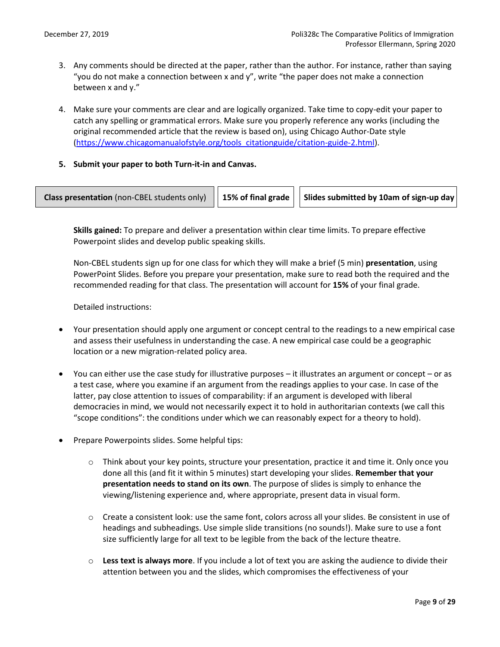- 3. Any comments should be directed at the paper, rather than the author. For instance, rather than saying "you do not make a connection between x and y", write "the paper does not make a connection between x and y."
- 4. Make sure your comments are clear and are logically organized. Take time to copy-edit your paper to catch any spelling or grammatical errors. Make sure you properly reference any works (including the original recommended article that the review is based on), using Chicago Author-Date style [\(https://www.chicagomanualofstyle.org/tools\\_citationguide/citation-guide-2.html\)](https://www.chicagomanualofstyle.org/tools_citationguide/citation-guide-2.html).
- **5. Submit your paper to both Turn-it-in and Canvas.**



**Skills gained:** To prepare and deliver a presentation within clear time limits. To prepare effective Powerpoint slides and develop public speaking skills.

Non-CBEL students sign up for one class for which they will make a brief (5 min) **presentation**, using PowerPoint Slides. Before you prepare your presentation, make sure to read both the required and the recommended reading for that class. The presentation will account for **15%** of your final grade.

Detailed instructions:

- Your presentation should apply one argument or concept central to the readings to a new empirical case and assess their usefulness in understanding the case. A new empirical case could be a geographic location or a new migration-related policy area.
- You can either use the case study for illustrative purposes it illustrates an argument or concept or as a test case, where you examine if an argument from the readings applies to your case. In case of the latter, pay close attention to issues of comparability: if an argument is developed with liberal democracies in mind, we would not necessarily expect it to hold in authoritarian contexts (we call this "scope conditions": the conditions under which we can reasonably expect for a theory to hold).
- Prepare Powerpoints slides. Some helpful tips:
	- o Think about your key points, structure your presentation, practice it and time it. Only once you done all this (and fit it within 5 minutes) start developing your slides. **Remember that your presentation needs to stand on its own**. The purpose of slides is simply to enhance the viewing/listening experience and, where appropriate, present data in visual form.
	- $\circ$  Create a consistent look: use the same font, colors across all your slides. Be consistent in use of headings and subheadings. Use simple slide transitions (no sounds!). Make sure to use a font size sufficiently large for all text to be legible from the back of the lecture theatre.
	- o **Less text is always more**. If you include a lot of text you are asking the audience to divide their attention between you and the slides, which compromises the effectiveness of your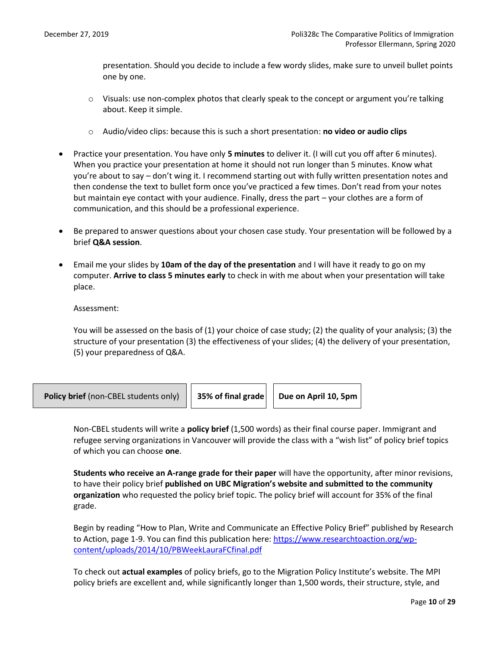presentation. Should you decide to include a few wordy slides, make sure to unveil bullet points one by one.

- $\circ$  Visuals: use non-complex photos that clearly speak to the concept or argument you're talking about. Keep it simple.
- o Audio/video clips: because this is such a short presentation: **no video or audio clips**
- Practice your presentation. You have only **5 minutes** to deliver it. (I will cut you off after 6 minutes). When you practice your presentation at home it should not run longer than 5 minutes. Know what you're about to say – don't wing it. I recommend starting out with fully written presentation notes and then condense the text to bullet form once you've practiced a few times. Don't read from your notes but maintain eye contact with your audience. Finally, dress the part – your clothes are a form of communication, and this should be a professional experience.
- Be prepared to answer questions about your chosen case study. Your presentation will be followed by a brief **Q&A session**.
- Email me your slides by **10am of the day of the presentation** and I will have it ready to go on my computer. **Arrive to class 5 minutes early** to check in with me about when your presentation will take place.

Assessment:

You will be assessed on the basis of (1) your choice of case study; (2) the quality of your analysis; (3) the structure of your presentation (3) the effectiveness of your slides; (4) the delivery of your presentation, (5) your preparedness of Q&A.



Non-CBEL students will write a **policy brief** (1,500 words) as their final course paper. Immigrant and refugee serving organizations in Vancouver will provide the class with a "wish list" of policy brief topics of which you can choose **one**.

**Students who receive an A-range grade for their paper** will have the opportunity, after minor revisions, to have their policy brief **published on UBC Migration's website and submitted to the community organization** who requested the policy brief topic. The policy brief will account for 35% of the final grade.

Begin by reading "How to Plan, Write and Communicate an Effective Policy Brief" published by Research to Action, page 1-9. You can find this publication here: [https://www.researchtoaction.org/wp](https://www.researchtoaction.org/wp-content/uploads/2014/10/PBWeekLauraFCfinal.pdf)[content/uploads/2014/10/PBWeekLauraFCfinal.pdf](https://www.researchtoaction.org/wp-content/uploads/2014/10/PBWeekLauraFCfinal.pdf)

To check out **actual examples** of policy briefs, go to the Migration Policy Institute's website. The MPI policy briefs are excellent and, while significantly longer than 1,500 words, their structure, style, and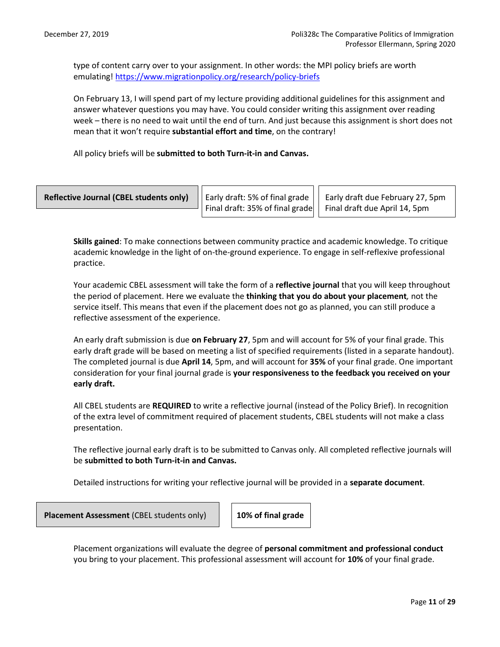type of content carry over to your assignment. In other words: the MPI policy briefs are worth emulating! <https://www.migrationpolicy.org/research/policy-briefs>

On February 13, I will spend part of my lecture providing additional guidelines for this assignment and answer whatever questions you may have. You could consider writing this assignment over reading week – there is no need to wait until the end of turn. And just because this assignment is short does not mean that it won't require **substantial effort and time**, on the contrary!

All policy briefs will be **submitted to both Turn-it-in and Canvas.** 

| <b>Reflective Journal (CBEL students only)</b> $\ \cdot\ $ Early draft: 5% of final grade $\ \cdot\ $ Early draft due February 27, 5pm |                                                                                           |  |
|----------------------------------------------------------------------------------------------------------------------------------------|-------------------------------------------------------------------------------------------|--|
|                                                                                                                                        | $\frac{1}{2}$ Final draft: 35% of final grade $\frac{1}{2}$ Final draft due April 14, 5pm |  |

**Skills gained**: To make connections between community practice and academic knowledge. To critique academic knowledge in the light of on-the-ground experience. To engage in self-reflexive professional practice.

Your academic CBEL assessment will take the form of a **reflective journal** that you will keep throughout the period of placement. Here we evaluate the **thinking that you do about your placement***,* not the service itself. This means that even if the placement does not go as planned, you can still produce a reflective assessment of the experience.

An early draft submission is due **on February 27**, 5pm and will account for 5% of your final grade. This early draft grade will be based on meeting a list of specified requirements (listed in a separate handout). The completed journal is due **April 14**, 5pm, and will account for **35%** of your final grade. One important consideration for your final journal grade is **your responsiveness to the feedback you received on your early draft.** 

All CBEL students are **REQUIRED** to write a reflective journal (instead of the Policy Brief). In recognition of the extra level of commitment required of placement students, CBEL students will not make a class presentation.

The reflective journal early draft is to be submitted to Canvas only. All completed reflective journals will be **submitted to both Turn-it-in and Canvas.**

Detailed instructions for writing your reflective journal will be provided in a **separate document**.

**Placement Assessment** (CBEL students only) **10% of final grade**

Placement organizations will evaluate the degree of **personal commitment and professional conduct** you bring to your placement. This professional assessment will account for **10%** of your final grade.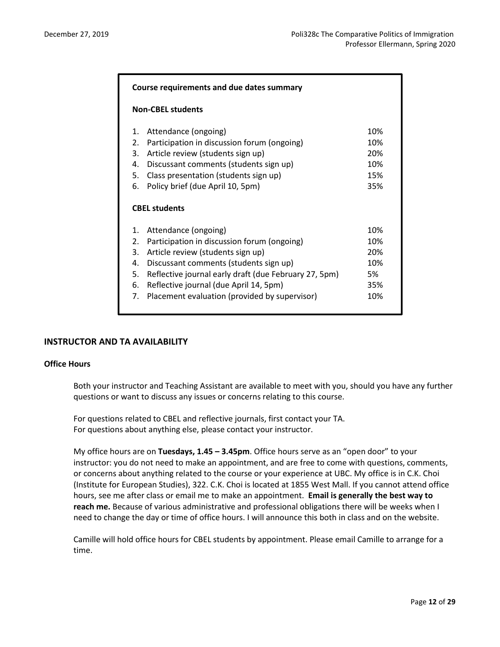|                                                                  | Course requirements and due dates summary                                                                                                                                                                                                                                                              |                                              |  |
|------------------------------------------------------------------|--------------------------------------------------------------------------------------------------------------------------------------------------------------------------------------------------------------------------------------------------------------------------------------------------------|----------------------------------------------|--|
|                                                                  | <b>Non-CBEL students</b>                                                                                                                                                                                                                                                                               |                                              |  |
| $\mathbf{1}$ .<br>2.<br>3.<br>4.<br>5.                           | Attendance (ongoing)<br>Participation in discussion forum (ongoing)<br>Article review (students sign up)<br>Discussant comments (students sign up)<br>Class presentation (students sign up)                                                                                                            | 10%<br>10%<br>20%<br>10%<br>15%              |  |
| 6.                                                               | Policy brief (due April 10, 5pm)<br><b>CBEL students</b>                                                                                                                                                                                                                                               | 35%                                          |  |
| $\mathbf{1}$ .<br>$\mathfrak{D}$ .<br>3.<br>4.<br>5.<br>6.<br>7. | Attendance (ongoing)<br>Participation in discussion forum (ongoing)<br>Article review (students sign up)<br>Discussant comments (students sign up)<br>Reflective journal early draft (due February 27, 5pm)<br>Reflective journal (due April 14, 5pm)<br>Placement evaluation (provided by supervisor) | 10%<br>10%<br>20%<br>10%<br>5%<br>35%<br>10% |  |

# **INSTRUCTOR AND TA AVAILABILITY**

# **Office Hours**

Both your instructor and Teaching Assistant are available to meet with you, should you have any further questions or want to discuss any issues or concerns relating to this course.

For questions related to CBEL and reflective journals, first contact your TA. For questions about anything else, please contact your instructor.

My office hours are on **Tuesdays, 1.45 – 3.45pm**. Office hours serve as an "open door" to your instructor: you do not need to make an appointment, and are free to come with questions, comments, or concerns about anything related to the course or your experience at UBC. My office is in C.K. Choi (Institute for European Studies), 322. C.K. Choi is located at 1855 West Mall. If you cannot attend office hours, see me after class or email me to make an appointment. **Email is generally the best way to reach me.** Because of various administrative and professional obligations there will be weeks when I need to change the day or time of office hours. I will announce this both in class and on the website.

Camille will hold office hours for CBEL students by appointment. Please email Camille to arrange for a time.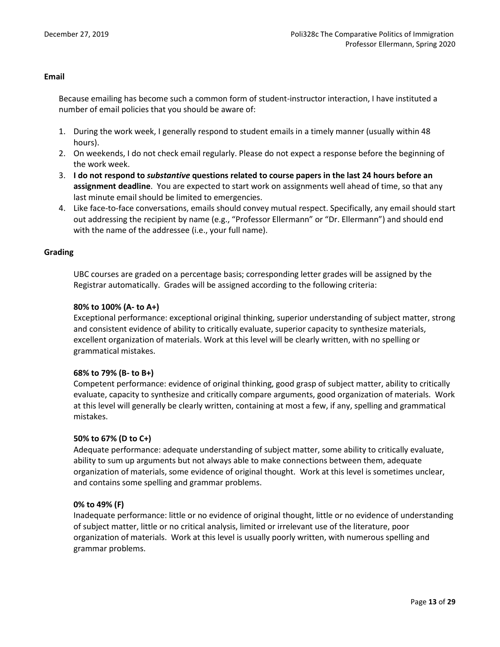# **Email**

Because emailing has become such a common form of student-instructor interaction, I have instituted a number of email policies that you should be aware of:

- 1. During the work week, I generally respond to student emails in a timely manner (usually within 48 hours).
- 2. On weekends, I do not check email regularly. Please do not expect a response before the beginning of the work week.
- 3. **I do not respond to** *substantive* **questions related to course papers in the last 24 hours before an assignment deadline**. You are expected to start work on assignments well ahead of time, so that any last minute email should be limited to emergencies.
- 4. Like face-to-face conversations, emails should convey mutual respect. Specifically, any email should start out addressing the recipient by name (e.g., "Professor Ellermann" or "Dr. Ellermann") and should end with the name of the addressee (i.e., your full name).

# **Grading**

UBC courses are graded on a percentage basis; corresponding letter grades will be assigned by the Registrar automatically. Grades will be assigned according to the following criteria:

# **80% to 100% (A- to A+)**

Exceptional performance: exceptional original thinking, superior understanding of subject matter, strong and consistent evidence of ability to critically evaluate, superior capacity to synthesize materials, excellent organization of materials. Work at this level will be clearly written, with no spelling or grammatical mistakes.

# **68% to 79% (B- to B+)**

Competent performance: evidence of original thinking, good grasp of subject matter, ability to critically evaluate, capacity to synthesize and critically compare arguments, good organization of materials. Work at this level will generally be clearly written, containing at most a few, if any, spelling and grammatical mistakes.

# **50% to 67% (D to C+)**

Adequate performance: adequate understanding of subject matter, some ability to critically evaluate, ability to sum up arguments but not always able to make connections between them, adequate organization of materials, some evidence of original thought. Work at this level is sometimes unclear, and contains some spelling and grammar problems.

# **0% to 49% (F)**

Inadequate performance: little or no evidence of original thought, little or no evidence of understanding of subject matter, little or no critical analysis, limited or irrelevant use of the literature, poor organization of materials. Work at this level is usually poorly written, with numerous spelling and grammar problems.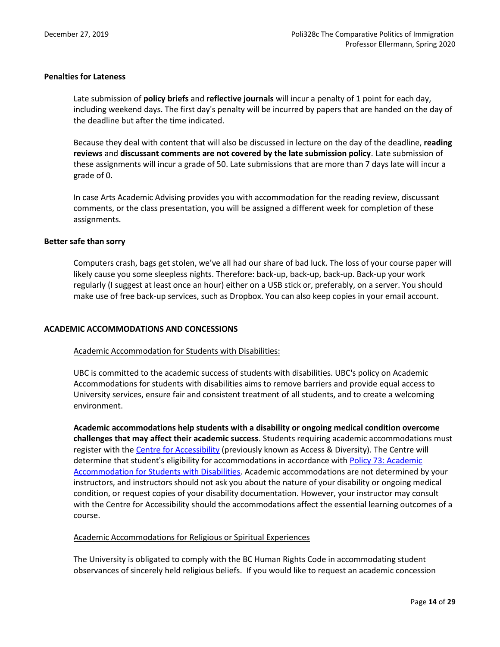# **Penalties for Lateness**

Late submission of **policy briefs** and **reflective journals** will incur a penalty of 1 point for each day, including weekend days. The first day's penalty will be incurred by papers that are handed on the day of the deadline but after the time indicated.

Because they deal with content that will also be discussed in lecture on the day of the deadline, **reading reviews** and **discussant comments are not covered by the late submission policy**. Late submission of these assignments will incur a grade of 50. Late submissions that are more than 7 days late will incur a grade of 0.

In case Arts Academic Advising provides you with accommodation for the reading review, discussant comments, or the class presentation, you will be assigned a different week for completion of these assignments.

# **Better safe than sorry**

Computers crash, bags get stolen, we've all had our share of bad luck. The loss of your course paper will likely cause you some sleepless nights. Therefore: back-up, back-up, back-up. Back-up your work regularly (I suggest at least once an hour) either on a USB stick or, preferably, on a server. You should make use of free back-up services, such as Dropbox. You can also keep copies in your email account.

# **ACADEMIC ACCOMMODATIONS AND CONCESSIONS**

# Academic Accommodation for Students with Disabilities:

UBC is committed to the academic success of students with disabilities. UBC's policy on Academic Accommodations for students with disabilities aims to remove barriers and provide equal access to University services, ensure fair and consistent treatment of all students, and to create a welcoming environment.

**Academic accommodations help students with a disability or ongoing medical condition overcome challenges that may affect their academic success**. Students requiring academic accommodations must register with th[e Centre for Accessibility](https://students.ubc.ca/about-student-services/centre-for-accessibility) (previously known as Access & Diversity). The Centre will determine that student's eligibility for accommodations in accordance with [Policy 73: Academic](https://universitycounsel.ubc.ca/files/2019/02/policy73.pdf)  [Accommodation for Students with Disabilities.](https://universitycounsel.ubc.ca/files/2019/02/policy73.pdf) Academic accommodations are not determined by your instructors, and instructors should not ask you about the nature of your disability or ongoing medical condition, or request copies of your disability documentation. However, your instructor may consult with the Centre for Accessibility should the accommodations affect the essential learning outcomes of a course.

#### Academic Accommodations for Religious or Spiritual Experiences

The University is obligated to comply with the BC Human Rights Code in accommodating student observances of sincerely held religious beliefs. If you would like to request an academic concession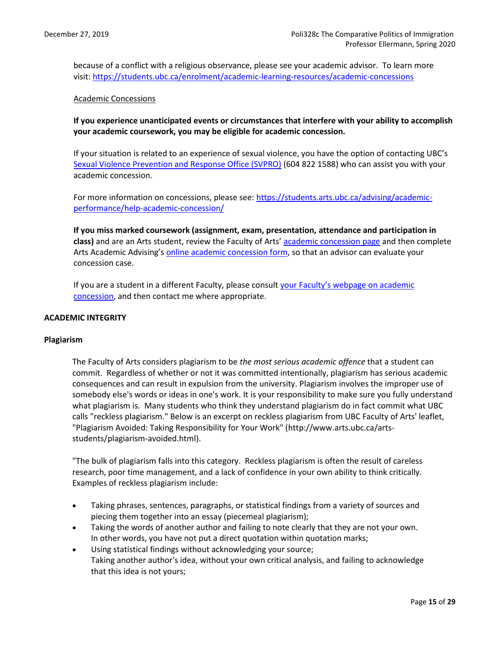because of a conflict with a religious observance, please see your academic advisor. To learn more visit: <https://students.ubc.ca/enrolment/academic-learning-resources/academic-concessions>

# Academic Concessions

**If you experience unanticipated events or circumstances that interfere with your ability to accomplish your academic coursework, you may be eligible for academic concession.**

If your situation is related to an experience of sexual violence, you have the option of contacting UBC's [Sexual Violence Prevention and Response Office \(SVPRO\)](https://svpro.ubc.ca/) (604 822 1588) who can assist you with your academic concession.

For more information on concessions, please see: [https://students.arts.ubc.ca/advising/academic](https://students.arts.ubc.ca/advising/academic-performance/help-academic-concession/)[performance/help-academic-concession/](https://students.arts.ubc.ca/advising/academic-performance/help-academic-concession/)

**If you miss marked coursework (assignment, exam, presentation, attendance and participation in class)** and are an Arts student, review the Faculty of Arts' [academic concession](https://students.arts.ubc.ca/advising/academic-performance/help-academic-concession/) page and then complete Arts Academic Advising's [online academic concession form,](https://students.air.arts.ubc.ca/academic-concession-form/) so that an advisor can evaluate your concession case.

If you are a student in a different Faculty, please consult your Faculty's webpage on academic [concession,](https://students.ubc.ca/enrolment/academic-learning-resources/academic-concessions) and then contact me where appropriate.

#### **ACADEMIC INTEGRITY**

#### **Plagiarism**

The Faculty of Arts considers plagiarism to be *the most serious academic offence* that a student can commit. Regardless of whether or not it was committed intentionally, plagiarism has serious academic consequences and can result in expulsion from the university. Plagiarism involves the improper use of somebody else's words or ideas in one's work. It is your responsibility to make sure you fully understand what plagiarism is. Many students who think they understand plagiarism do in fact commit what UBC calls "reckless plagiarism." Below is an excerpt on reckless plagiarism from UBC Faculty of Arts' leaflet, "Plagiarism Avoided: Taking Responsibility for Your Work" [\(http://www.arts.ubc.ca/arts](http://www.arts.ubc.ca/arts-students/plagiarism-avoided.html)[students/plagiarism-avoided.html\)](http://www.arts.ubc.ca/arts-students/plagiarism-avoided.html).

"The bulk of plagiarism falls into this category. Reckless plagiarism is often the result of careless research, poor time management, and a lack of confidence in your own ability to think critically. Examples of reckless plagiarism include:

- Taking phrases, sentences, paragraphs, or statistical findings from a variety of sources and piecing them together into an essay (piecemeal plagiarism);
- Taking the words of another author and failing to note clearly that they are not your own. In other words, you have not put a direct quotation within quotation marks;
- Using statistical findings without acknowledging your source; Taking another author's idea, without your own critical analysis, and failing to acknowledge that this idea is not yours;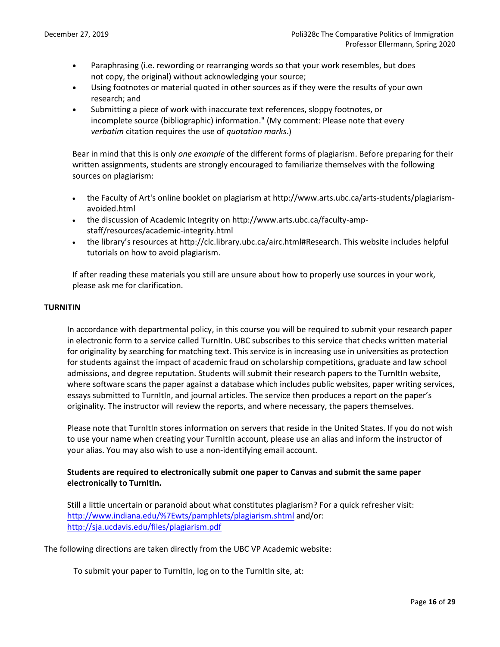- Paraphrasing (i.e. rewording or rearranging words so that your work resembles, but does not copy, the original) without acknowledging your source;
- Using footnotes or material quoted in other sources as if they were the results of your own research; and
- Submitting a piece of work with inaccurate text references, sloppy footnotes, or incomplete source (bibliographic) information." (My comment: Please note that every *verbatim* citation requires the use of *quotation marks*.)

Bear in mind that this is only *one example* of the different forms of plagiarism. Before preparing for their written assignments, students are strongly encouraged to familiarize themselves with the following sources on plagiarism:

- the Faculty of Art's online booklet on plagiarism at [http://www.arts.ubc.ca/arts-students/plagiarism](http://www.arts.ubc.ca/arts-students/plagiarism-avoided.html)[avoided.html](http://www.arts.ubc.ca/arts-students/plagiarism-avoided.html)
- the discussion of Academic Integrity on http://www.arts.ubc.ca/faculty-ampstaff/resources/academic-integrity.html
- the library's resources at [http://clc.library.ubc.ca/airc.html#Research.](http://clc.library.ubc.ca/airc.html#Research) This website includes helpful tutorials on how to avoid plagiarism.

If after reading these materials you still are unsure about how to properly use sources in your work, please ask me for clarification.

# **TURNITIN**

In accordance with departmental policy, in this course you will be required to submit your research paper in electronic form to a service called TurnItIn. UBC subscribes to this service that checks written material for originality by searching for matching text. This service is in increasing use in universities as protection for students against the impact of academic fraud on scholarship competitions, graduate and law school admissions, and degree reputation. Students will submit their research papers to the TurnItIn website, where software scans the paper against a database which includes public websites, paper writing services, essays submitted to TurnItIn, and journal articles. The service then produces a report on the paper's originality. The instructor will review the reports, and where necessary, the papers themselves.

Please note that TurnItIn stores information on servers that reside in the United States. If you do not wish to use your name when creating your TurnItIn account, please use an alias and inform the instructor of your alias. You may also wish to use a non-identifying email account.

# **Students are required to electronically submit one paper to Canvas and submit the same paper electronically to TurnItIn.**

Still a little uncertain or paranoid about what constitutes plagiarism? For a quick refresher visit: [http://www.indiana.edu/%7Ewts/pamphlets/plagiarism.shtml](http://www.indiana.edu/~wts/pamphlets/plagiarism.shtml) and/or: <http://sja.ucdavis.edu/files/plagiarism.pdf>

The following directions are taken directly from the UBC VP Academic website:

To submit your paper to TurnItIn, log on to the TurnItIn site, at: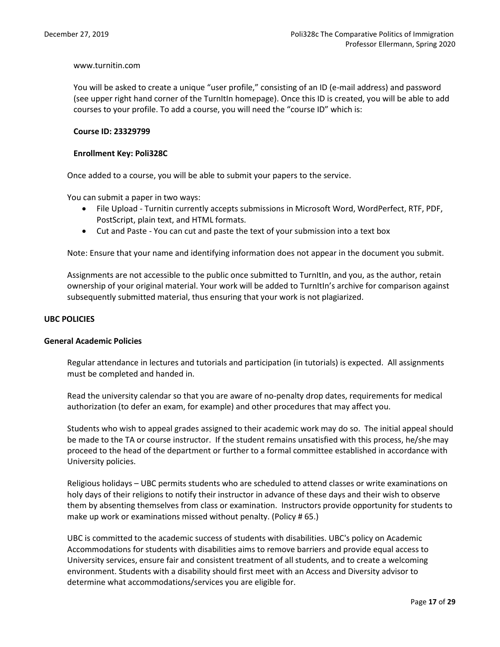# www.turnitin.com

You will be asked to create a unique "user profile," consisting of an ID (e-mail address) and password (see upper right hand corner of the TurnItIn homepage). Once this ID is created, you will be able to add courses to your profile. To add a course, you will need the "course ID" which is:

# **Course ID: 23329799**

# **Enrollment Key: Poli328C**

Once added to a course, you will be able to submit your papers to the service.

You can submit a paper in two ways:

- File Upload Turnitin currently accepts submissions in Microsoft Word, WordPerfect, RTF, PDF, PostScript, plain text, and HTML formats.
- Cut and Paste You can cut and paste the text of your submission into a text box

Note: Ensure that your name and identifying information does not appear in the document you submit.

Assignments are not accessible to the public once submitted to TurnItIn, and you, as the author, retain ownership of your original material. Your work will be added to TurnItIn's archive for comparison against subsequently submitted material, thus ensuring that your work is not plagiarized.

# **UBC POLICIES**

#### **General Academic Policies**

Regular attendance in lectures and tutorials and participation (in tutorials) is expected. All assignments must be completed and handed in.

Read the university calendar so that you are aware of no-penalty drop dates, requirements for medical authorization (to defer an exam, for example) and other procedures that may affect you.

Students who wish to appeal grades assigned to their academic work may do so. The initial appeal should be made to the TA or course instructor. If the student remains unsatisfied with this process, he/she may proceed to the head of the department or further to a formal committee established in accordance with University policies.

Religious holidays – UBC permits students who are scheduled to attend classes or write examinations on holy days of their religions to notify their instructor in advance of these days and their wish to observe them by absenting themselves from class or examination. Instructors provide opportunity for students to make up work or examinations missed without penalty. (Policy # 65.)

UBC is committed to the academic success of students with disabilities. UBC's policy on Academic Accommodations for students with disabilities aims to remove barriers and provide equal access to University services, ensure fair and consistent treatment of all students, and to create a welcoming environment. Students with a disability should first meet with an Access and Diversity advisor to determine what accommodations/services you are eligible for.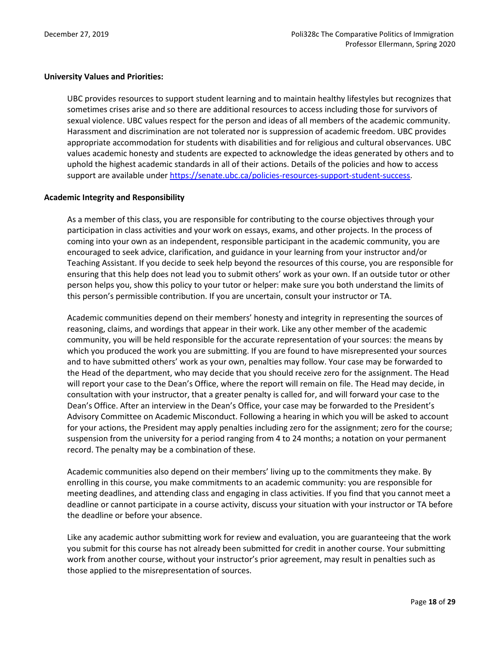# **University Values and Priorities:**

UBC provides resources to support student learning and to maintain healthy lifestyles but recognizes that sometimes crises arise and so there are additional resources to access including those for survivors of sexual violence. UBC values respect for the person and ideas of all members of the academic community. Harassment and discrimination are not tolerated nor is suppression of academic freedom. UBC provides appropriate accommodation for students with disabilities and for religious and cultural observances. UBC values academic honesty and students are expected to acknowledge the ideas generated by others and to uphold the highest academic standards in all of their actions. Details of the policies and how to access support are available under [https://senate.ubc.ca/policies-resources-support-student-success.](https://senate.ubc.ca/policies-resources-support-student-success)

# **Academic Integrity and Responsibility**

As a member of this class, you are responsible for contributing to the course objectives through your participation in class activities and your work on essays, exams, and other projects. In the process of coming into your own as an independent, responsible participant in the academic community, you are encouraged to seek advice, clarification, and guidance in your learning from your instructor and/or Teaching Assistant. If you decide to seek help beyond the resources of this course, you are responsible for ensuring that this help does not lead you to submit others' work as your own. If an outside tutor or other person helps you, show this policy to your tutor or helper: make sure you both understand the limits of this person's permissible contribution. If you are uncertain, consult your instructor or TA.

Academic communities depend on their members' honesty and integrity in representing the sources of reasoning, claims, and wordings that appear in their work. Like any other member of the academic community, you will be held responsible for the accurate representation of your sources: the means by which you produced the work you are submitting. If you are found to have misrepresented your sources and to have submitted others' work as your own, penalties may follow. Your case may be forwarded to the Head of the department, who may decide that you should receive zero for the assignment. The Head will report your case to the Dean's Office, where the report will remain on file. The Head may decide, in consultation with your instructor, that a greater penalty is called for, and will forward your case to the Dean's Office. After an interview in the Dean's Office, your case may be forwarded to the President's Advisory Committee on Academic Misconduct. Following a hearing in which you will be asked to account for your actions, the President may apply penalties including zero for the assignment; zero for the course; suspension from the university for a period ranging from 4 to 24 months; a notation on your permanent record. The penalty may be a combination of these.

Academic communities also depend on their members' living up to the commitments they make. By enrolling in this course, you make commitments to an academic community: you are responsible for meeting deadlines, and attending class and engaging in class activities. If you find that you cannot meet a deadline or cannot participate in a course activity, discuss your situation with your instructor or TA before the deadline or before your absence.

Like any academic author submitting work for review and evaluation, you are guaranteeing that the work you submit for this course has not already been submitted for credit in another course. Your submitting work from another course, without your instructor's prior agreement, may result in penalties such as those applied to the misrepresentation of sources.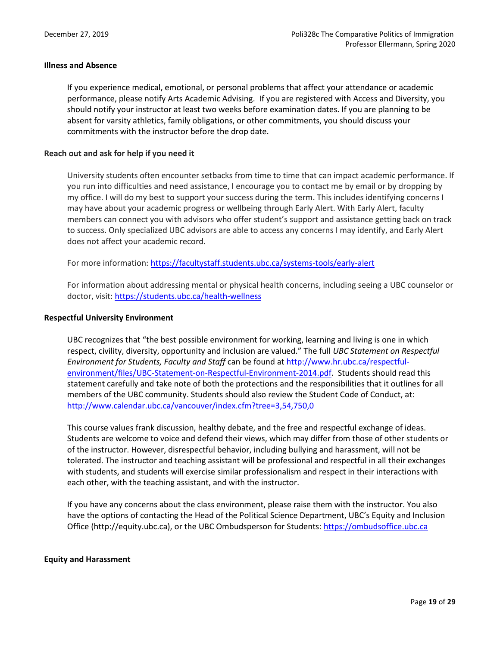# **Illness and Absence**

If you experience medical, emotional, or personal problems that affect your attendance or academic performance, please notify Arts Academic Advising. If you are registered with Access and Diversity, you should notify your instructor at least two weeks before examination dates. If you are planning to be absent for varsity athletics, family obligations, or other commitments, you should discuss your commitments with the instructor before the drop date.

# **Reach out and ask for help if you need it**

University students often encounter setbacks from time to time that can impact academic performance. If you run into difficulties and need assistance, I encourage you to contact me by email or by dropping by my office. I will do my best to support your success during the term. This includes identifying concerns I may have about your academic progress or wellbeing through Early Alert. With Early Alert, faculty members can connect you with advisors who offer student's support and assistance getting back on track to success. Only specialized UBC advisors are able to access any concerns I may identify, and Early Alert does not affect your academic record.

For more information:<https://facultystaff.students.ubc.ca/systems-tools/early-alert>

For information about addressing mental or physical health concerns, including seeing a UBC counselor or doctor, visit[: https://students.ubc.ca/health-wellness](https://students.ubc.ca/health-wellness)

# **Respectful University Environment**

UBC recognizes that "the best possible environment for working, learning and living is one in which respect, civility, diversity, opportunity and inclusion are valued." The full *UBC Statement on Respectful Environment for Students, Faculty and Staff* can be found at [http://www.hr.ubc.ca/respectful](http://www.hr.ubc.ca/respectful-environment/files/UBC-Statement-on-Respectful-Environment-2014.pdf)[environment/files/UBC-Statement-on-Respectful-Environment-2014.pdf.](http://www.hr.ubc.ca/respectful-environment/files/UBC-Statement-on-Respectful-Environment-2014.pdf) Students should read this statement carefully and take note of both the protections and the responsibilities that it outlines for all members of the UBC community. Students should also review the Student Code of Conduct, at: <http://www.calendar.ubc.ca/vancouver/index.cfm?tree=3,54,750,0>

This course values frank discussion, healthy debate, and the free and respectful exchange of ideas. Students are welcome to voice and defend their views, which may differ from those of other students or of the instructor. However, disrespectful behavior, including bullying and harassment, will not be tolerated. The instructor and teaching assistant will be professional and respectful in all their exchanges with students, and students will exercise similar professionalism and respect in their interactions with each other, with the teaching assistant, and with the instructor.

If you have any concerns about the class environment, please raise them with the instructor. You also have the options of contacting the Head of the Political Science Department, UBC's Equity and Inclusion Office (http://equity.ubc.ca), or the UBC Ombudsperson for Students: [https://ombudsoffice.ubc.ca](https://ombudsoffice.ubc.ca/)

#### **Equity and Harassment**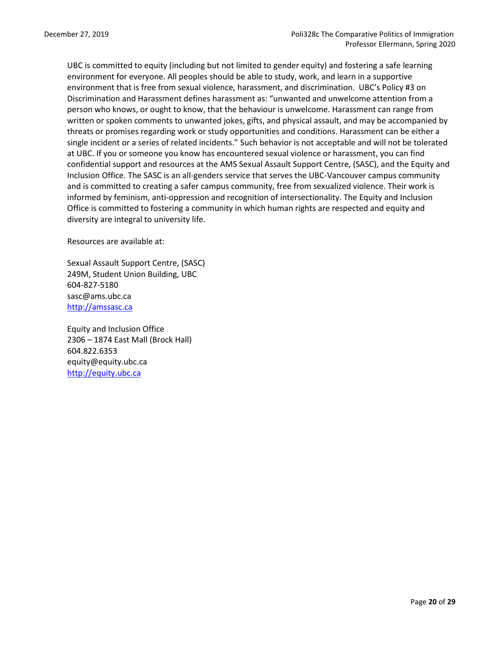UBC is committed to equity (including but not limited to gender equity) and fostering a safe learning environment for everyone. All peoples should be able to study, work, and learn in a supportive environment that is free from sexual violence, harassment, and discrimination. UBC's Policy #3 on Discrimination and Harassment defines harassment as: "unwanted and unwelcome attention from a person who knows, or ought to know, that the behaviour is unwelcome. Harassment can range from written or spoken comments to unwanted jokes, gifts, and physical assault, and may be accompanied by threats or promises regarding work or study opportunities and conditions. Harassment can be either a single incident or a series of related incidents." Such behavior is not acceptable and will not be tolerated at UBC. If you or someone you know has encountered sexual violence or harassment, you can find confidential support and resources at the AMS Sexual Assault Support Centre, (SASC), and the Equity and Inclusion Office. The SASC is an all-genders service that serves the UBC-Vancouver campus community and is committed to creating a safer campus community, free from sexualized violence. Their work is informed by feminism, anti-oppression and recognition of intersectionality. The Equity and Inclusion Office is committed to fostering a community in which human rights are respected and equity and diversity are integral to university life.

Resources are available at:

Sexual Assault Support Centre, (SASC) 249M, Student Union Building, UBC 604-827-5180 [sasc@ams.ubc.ca](mailto:sasc@ams.ubc.ca) [http://amssasc.ca](http://amssasc.ca/)

Equity and Inclusion Office 2306 – 1874 East Mall (Brock Hall) 604.822.6353 [equity@equity.ubc.ca](mailto:equity@equity.ubc.ca) [http://equity.ubc.ca](http://equity.ubc.ca/)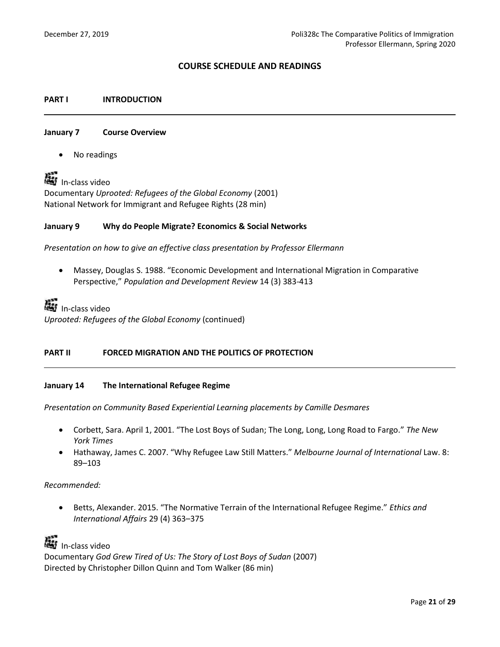# **COURSE SCHEDULE AND READINGS**

# **PART I INTRODUCTION**

#### **January 7 Course Overview**

No readings

LasIn-class video Documentary *Uprooted: Refugees of the Global Economy* (2001) National Network for Immigrant and Refugee Rights (28 min)

# **January 9 Why do People Migrate? Economics & Social Networks**

*Presentation on how to give an effective class presentation by Professor Ellermann*

 Massey, Douglas S. 1988. "Economic Development and International Migration in Comparative Perspective," *Population and Development Review* 14 (3) 383-413

In-classvideo

*Uprooted: Refugees of the Global Economy* (continued)

# **PART II FORCED MIGRATION AND THE POLITICS OF PROTECTION**

#### **January 14 The International Refugee Regime**

*Presentation on Community Based Experiential Learning placements by Camille Desmares*

- Corbett, Sara. April 1, 2001. "The Lost Boys of Sudan; The Long, Long, Long Road to Fargo." *The New York Times*
- Hathaway, James C. 2007. "Why Refugee Law Still Matters." *Melbourne Journal of International* Law. 8: 89–103

#### *Recommended:*

 Betts, Alexander. 2015. "The Normative Terrain of the International Refugee Regime." *Ethics and International Affairs* 29 (4) 363–375

Lightn-classvideo Documentary *God Grew Tired of Us: The Story of Lost Boys of Sudan* (2007) Directed by Christopher Dillon Quinn and Tom Walker (86 min)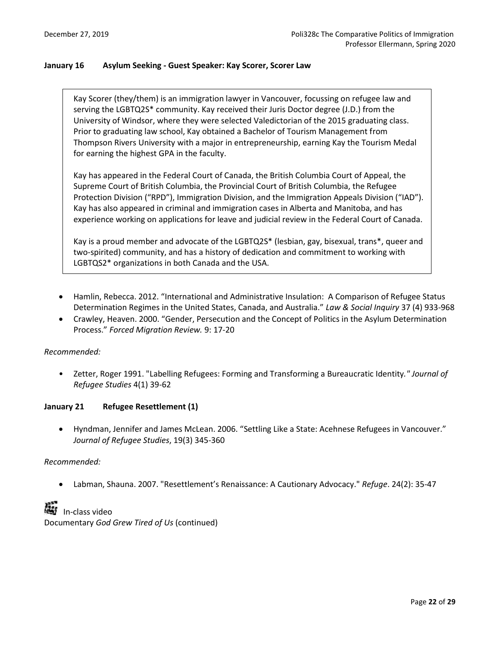# **January 16 Asylum Seeking - Guest Speaker: Kay Scorer, Scorer Law**

Kay Scorer (they/them) is an immigration lawyer in Vancouver, focussing on refugee law and serving the LGBTQ2S\* community. Kay received their Juris Doctor degree (J.D.) from the University of Windsor, where they were selected Valedictorian of the 2015 graduating class. Prior to graduating law school, Kay obtained a Bachelor of Tourism Management from Thompson Rivers University with a major in entrepreneurship, earning Kay the Tourism Medal for earning the highest GPA in the faculty.

Kay has appeared in the Federal Court of Canada, the British Columbia Court of Appeal, the Supreme Court of British Columbia, the Provincial Court of British Columbia, the Refugee Protection Division ("RPD"), Immigration Division, and the Immigration Appeals Division ("IAD"). Kay has also appeared in criminal and immigration cases in Alberta and Manitoba, and has experience working on applications for leave and judicial review in the Federal Court of Canada.

Kay is a proud member and advocate of the LGBTQ2S\* (lesbian, gay, bisexual, trans\*, queer and two-spirited) community, and has a history of dedication and commitment to working with LGBTQS2\* organizations in both Canada and the USA.

- Hamlin, Rebecca. 2012. "International and Administrative Insulation: A Comparison of Refugee Status Determination Regimes in the United States, Canada, and Australia." *Law & Social Inquiry* 37 (4) 933-968
- Crawley, Heaven. 2000. "Gender, Persecution and the Concept of Politics in the Asylum Determination Process." *Forced Migration Review.* 9: 17-20

# *Recommended:*

• Zetter, Roger 1991. "Labelling Refugees: Forming and Transforming a Bureaucratic Identity*." Journal of Refugee Studies* 4(1) 39-62

# **January 21 Refugee Resettlement (1)**

 Hyndman, Jennifer and James McLean. 2006. "Settling Like a State: Acehnese Refugees in Vancouver." *Journal of Refugee Studies*, 19(3) 345-360

# *Recommended:*

Labman, Shauna. 2007. "Resettlement's Renaissance: A Cautionary Advocacy." *Refuge*. 24(2): 35-47

**A**In-class video Documentary *God Grew Tired of Us* (continued)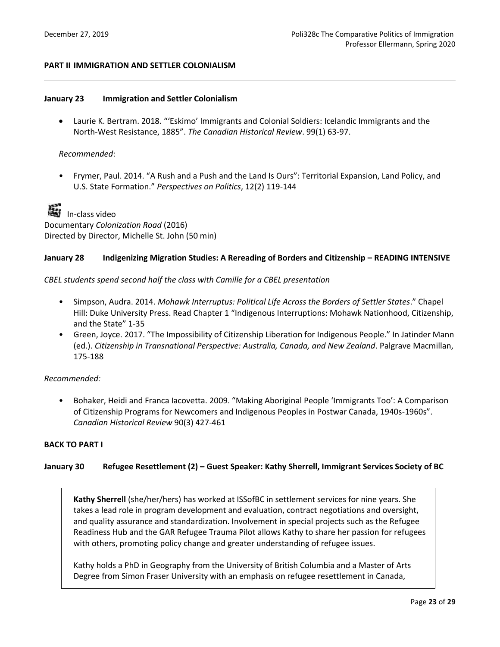# **PART II IMMIGRATION AND SETTLER COLONIALISM**

# **January 23 Immigration and Settler Colonialism**

 Laurie K. Bertram. 2018. "'Eskimo' Immigrants and Colonial Soldiers: Icelandic Immigrants and the North-West Resistance, 1885". *The Canadian Historical Review*. 99(1) 63-97.

# *Recommended*:

• Frymer, Paul. 2014. "A Rush and a Push and the Land Is Ours": Territorial Expansion, Land Policy, and U.S. State Formation." *Perspectives on Politics*, 12(2) 119-144



Lip-classvideo Documentary *Colonization Road* (2016) Directed by Director, Michelle St. John (50 min)

# **January 28 Indigenizing Migration Studies: A Rereading of Borders and Citizenship – READING INTENSIVE**

# *CBEL students spend second half the class with Camille for a CBEL presentation*

- Simpson, Audra. 2014. *Mohawk Interruptus: Political Life Across the Borders of Settler States*." Chapel Hill: Duke University Press. Read Chapter 1 "Indigenous Interruptions: Mohawk Nationhood, Citizenship, and the State" 1-35
- Green, Joyce. 2017. "The Impossibility of Citizenship Liberation for Indigenous People." In Jatinder Mann (ed.). *Citizenship in Transnational Perspective: Australia, Canada, and New Zealand*. Palgrave Macmillan, 175-188

# *Recommended:*

• Bohaker, Heidi and Franca Iacovetta. 2009. "Making Aboriginal People 'Immigrants Too': A Comparison of Citizenship Programs for Newcomers and Indigenous Peoples in Postwar Canada, 1940s-1960s". *Canadian Historical Review* 90(3) 427-461

# **BACK TO PART I**

# **January 30 Refugee Resettlement (2) – Guest Speaker: Kathy Sherrell, Immigrant Services Society of BC**

**Kathy Sherrell** (she/her/hers) has worked at ISSofBC in settlement services for nine years. She takes a lead role in program development and evaluation, contract negotiations and oversight, and quality assurance and standardization. Involvement in special projects such as the Refugee Readiness Hub and the GAR Refugee Trauma Pilot allows Kathy to share her passion for refugees with others, promoting policy change and greater understanding of refugee issues.

Kathy holds a PhD in Geography from the University of British Columbia and a Master of Arts Degree from Simon Fraser University with an emphasis on refugee resettlement in Canada,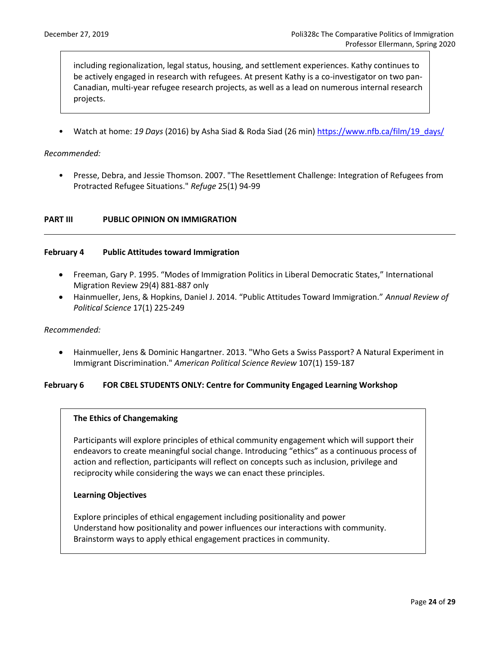including regionalization, legal status, housing, and settlement experiences. Kathy continues to be actively engaged in research with refugees. At present Kathy is a co-investigator on two pan-Canadian, multi-year refugee research projects, as well as a lead on numerous internal research projects.

• Watch at home: *19 Days* (2016) by Asha Siad & Roda Siad (26 min[\) https://www.nfb.ca/film/19\\_days/](https://www.nfb.ca/film/19_days/)

# *Recommended:*

• Presse, Debra, and Jessie Thomson. 2007. "The Resettlement Challenge: Integration of Refugees from Protracted Refugee Situations." *Refuge* 25(1) 94-99

# **PART III PUBLIC OPINION ON IMMIGRATION**

# **February 4 Public Attitudes toward Immigration**

- Freeman, Gary P. 1995. "Modes of Immigration Politics in Liberal Democratic States," International Migration Review 29(4) 881-887 only
- Hainmueller, Jens, & Hopkins, Daniel J. 2014. "Public Attitudes Toward Immigration." *Annual Review of Political Science* 17(1) 225-249

#### *Recommended:*

 Hainmueller, Jens & Dominic Hangartner. 2013. "Who Gets a Swiss Passport? A Natural Experiment in Immigrant Discrimination." *American Political Science Review* 107(1) 159-187

#### **February 6 FOR CBEL STUDENTS ONLY: Centre for Community Engaged Learning Workshop**

# **The Ethics of Changemaking**

Participants will explore principles of ethical community engagement which will support their endeavors to create meaningful social change. Introducing "ethics" as a continuous process of action and reflection, participants will reflect on concepts such as inclusion, privilege and reciprocity while considering the ways we can enact these principles.

#### **Learning Objectives**

Explore principles of ethical engagement including positionality and power Understand how positionality and power influences our interactions with community. Brainstorm ways to apply ethical engagement practices in community.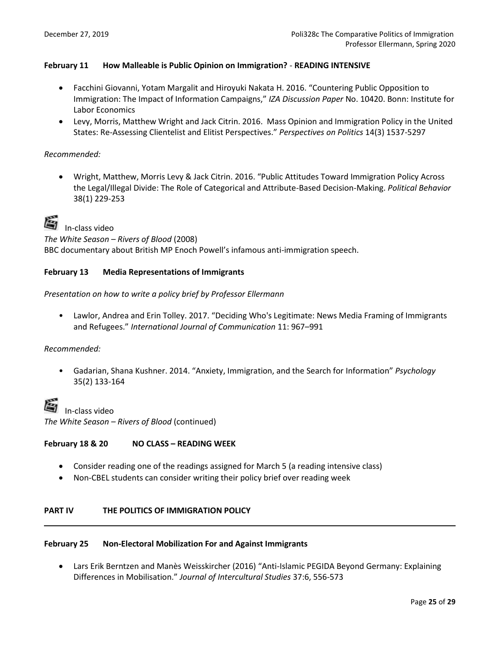# **February 11 How Malleable is Public Opinion on Immigration?** - **READING INTENSIVE**

- Facchini Giovanni, Yotam Margalit and Hiroyuki Nakata H. 2016. "Countering Public Opposition to Immigration: The Impact of Information Campaigns," *IZA Discussion Paper* No. 10420. Bonn: Institute for Labor Economics
- Levy, Morris, Matthew Wright and Jack Citrin. 2016. Mass Opinion and Immigration Policy in the United States: Re-Assessing Clientelist and Elitist Perspectives." *Perspectives on Politics* 14(3) 1537-5297

# *Recommended:*

 Wright, Matthew, Morris Levy & Jack Citrin. 2016. "Public Attitudes Toward Immigration Policy Across the Legal/Illegal Divide: The Role of Categorical and Attribute-Based Decision-Making. *Political Behavior* 38(1) 229-253



In-class video

*The White Season – Rivers of Blood* (2008)

BBC documentary about British MP Enoch Powell's infamous anti-immigration speech.

# **February 13 Media Representations of Immigrants**

# *Presentation on how to write a policy brief by Professor Ellermann*

• Lawlor, Andrea and Erin Tolley. 2017. "Deciding Who's Legitimate: News Media Framing of Immigrants and Refugees." *International Journal of Communication* 11: 967–991

# *Recommended:*

• Gadarian, Shana Kushner. 2014. "Anxiety, Immigration, and the Search for Information" *Psychology* 35(2) 133-164

 In-class video *The White Season – Rivers of Blood* (continued)

# **February 18 & 20 NO CLASS – READING WEEK**

- Consider reading one of the readings assigned for March 5 (a reading intensive class)
- Non-CBEL students can consider writing their policy brief over reading week

# **PART IV THE POLITICS OF IMMIGRATION POLICY**

#### **February 25 Non-Electoral Mobilization For and Against Immigrants**

 Lars Erik Berntzen and Manès Weisskircher (2016) "Anti-Islamic PEGIDA Beyond Germany: Explaining Differences in Mobilisation." *Journal of Intercultural Studies* 37:6, 556-573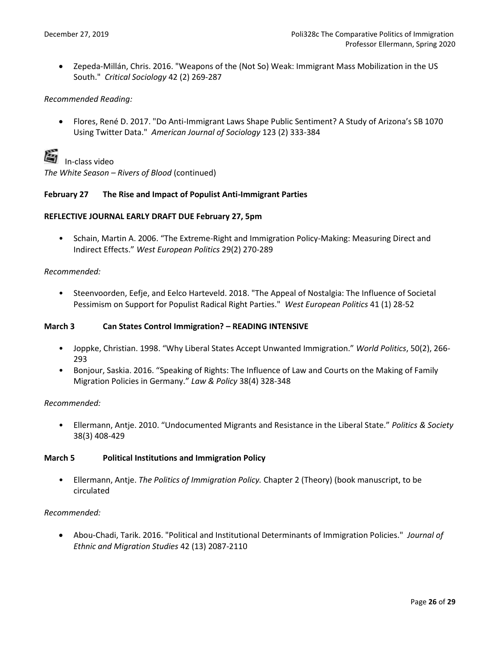Zepeda-Millán, Chris. 2016. "Weapons of the (Not So) Weak: Immigrant Mass Mobilization in the US South." *Critical Sociology* 42 (2) 269-287

# *Recommended Reading:*

 Flores, René D. 2017. "Do Anti-Immigrant Laws Shape Public Sentiment? A Study of Arizona's SB 1070 Using Twitter Data." *American Journal of Sociology* 123 (2) 333-384



In-class video

*The White Season – Rivers of Blood* (continued)

# **February 27 The Rise and Impact of Populist Anti-Immigrant Parties**

# **REFLECTIVE JOURNAL EARLY DRAFT DUE February 27, 5pm**

• Schain, Martin A. 2006. "The Extreme-Right and Immigration Policy-Making: Measuring Direct and Indirect Effects." *West European Politics* 29(2) 270-289

# *Recommended:*

• Steenvoorden, Eefje, and Eelco Harteveld. 2018. "The Appeal of Nostalgia: The Influence of Societal Pessimism on Support for Populist Radical Right Parties." *West European Politics* 41 (1) 28-52

# **March 3 Can States Control Immigration? – READING INTENSIVE**

- Joppke, Christian. 1998. "Why Liberal States Accept Unwanted Immigration." *World Politics*, 50(2), 266- 293
- Bonjour, Saskia. 2016. "Speaking of Rights: The Influence of Law and Courts on the Making of Family Migration Policies in Germany." *Law & Policy* 38(4) 328-348

# *Recommended:*

• Ellermann, Antje. 2010. "Undocumented Migrants and Resistance in the Liberal State." *Politics & Society* 38(3) 408-429

# **March 5 Political Institutions and Immigration Policy**

• Ellermann, Antje. *The Politics of Immigration Policy.* Chapter 2 (Theory) (book manuscript, to be circulated

# *Recommended:*

 Abou-Chadi, Tarik. 2016. "Political and Institutional Determinants of Immigration Policies." *Journal of Ethnic and Migration Studies* 42 (13) 2087-2110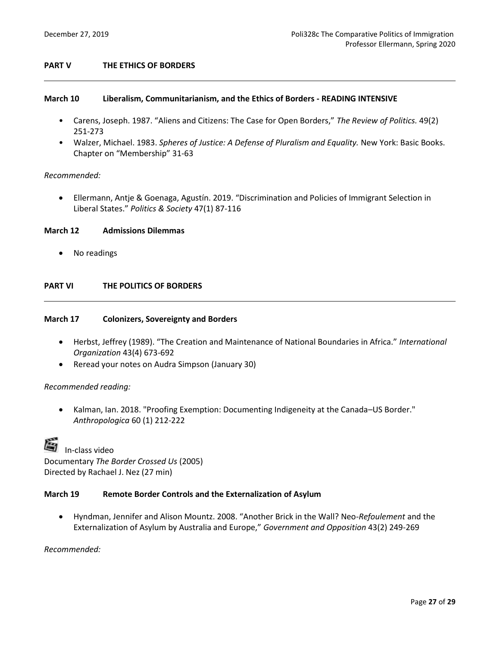# **PART V THE ETHICS OF BORDERS**

# **March 10 Liberalism, Communitarianism, and the Ethics of Borders - READING INTENSIVE**

- Carens, Joseph. 1987. "Aliens and Citizens: The Case for Open Borders," *The Review of Politics.* 49(2) 251-273
- Walzer, Michael. 1983. *Spheres of Justice: A Defense of Pluralism and Equality.* New York: Basic Books. Chapter on "Membership" 31-63

# *Recommended:*

 Ellermann, Antje & Goenaga, Agustín. 2019. "Discrimination and Policies of Immigrant Selection in Liberal States." *Politics & Society* 47(1) 87-116

#### **March 12 Admissions Dilemmas**

No readings

# **PART VI THE POLITICS OF BORDERS**

#### **March 17 Colonizers, Sovereignty and Borders**

- Herbst, Jeffrey (1989). "The Creation and Maintenance of National Boundaries in Africa." *International Organization* 43(4) 673-692
- Reread your notes on Audra Simpson (January 30)

# *Recommended reading:*

 Kalman, Ian. 2018. "Proofing Exemption: Documenting Indigeneity at the Canada–US Border." *Anthropologica* 60 (1) 212-222

| è | In-class video                           |
|---|------------------------------------------|
|   | Documentary The Border Crossed Us (2005) |
|   | Directed by Rachael J. Nez (27 min)      |

#### **March 19 Remote Border Controls and the Externalization of Asylum**

 Hyndman, Jennifer and Alison Mountz. 2008. "Another Brick in the Wall? Neo-*Refoulement* and the Externalization of Asylum by Australia and Europe," *Government and Opposition* 43(2) 249-269

#### *Recommended:*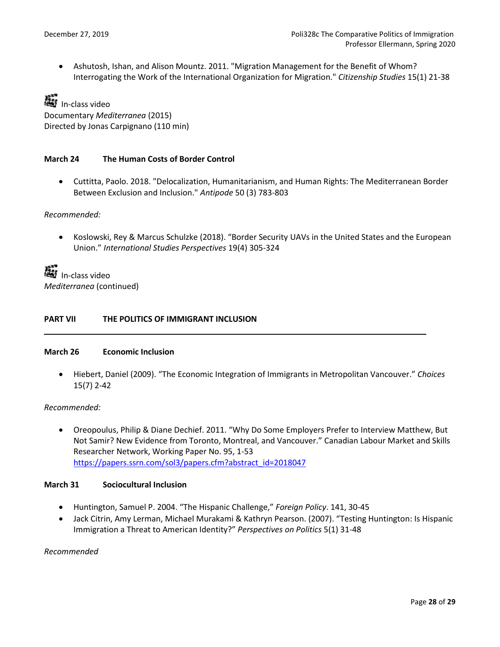Ashutosh, Ishan, and Alison Mountz. 2011. "Migration Management for the Benefit of Whom? Interrogating the Work of the International Organization for Migration." *Citizenship Studies* 15(1) 21-38

ListIn-class video Documentary *Mediterranea* (2015) Directed by Jonas Carpignano (110 min)

# **March 24 The Human Costs of Border Control**

 Cuttitta, Paolo. 2018. "Delocalization, Humanitarianism, and Human Rights: The Mediterranean Border Between Exclusion and Inclusion." *Antipode* 50 (3) 783-803

*Recommended:* 

 Koslowski, Rey & Marcus Schulzke (2018). "Border Security UAVs in the United States and the European Union." *International Studies Perspectives* 19(4) 305-324

LasIn-class video *Mediterranea* (continued)

# **PART VII THE POLITICS OF IMMIGRANT INCLUSION**

#### **March 26 Economic Inclusion**

 Hiebert, Daniel (2009). "The Economic Integration of Immigrants in Metropolitan Vancouver." *Choices* 15(7) 2-42

#### *Recommended:*

 Oreopoulus, Philip & Diane Dechief. 2011. "Why Do Some Employers Prefer to Interview Matthew, But Not Samir? New Evidence from Toronto, Montreal, and Vancouver." Canadian Labour Market and Skills Researcher Network, Working Paper No. 95, 1-53 [https://papers.ssrn.com/sol3/papers.cfm?abstract\\_id=2018047](https://papers.ssrn.com/sol3/papers.cfm?abstract_id=2018047)

# **March 31 Sociocultural Inclusion**

- Huntington, Samuel P. 2004. "The Hispanic Challenge," *Foreign Policy*. 141, 30-45
- Jack Citrin, Amy Lerman, Michael Murakami & Kathryn Pearson. (2007). "Testing Huntington: Is Hispanic Immigration a Threat to American Identity?" *Perspectives on Politics* 5(1) 31-48

*Recommended*